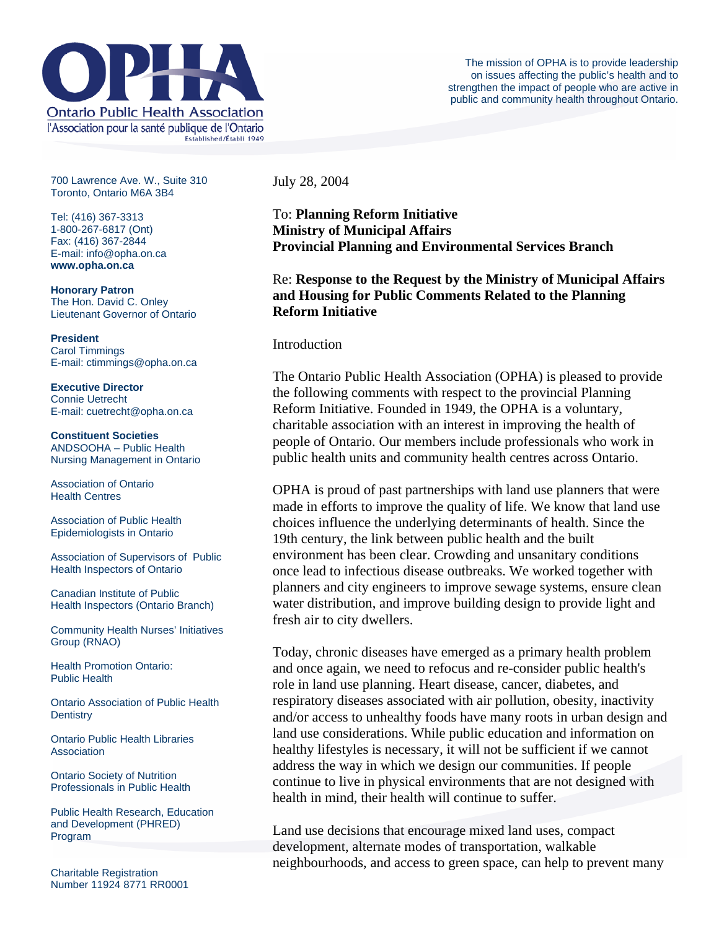

700 Lawrence Ave. W., Suite 310 Toronto, Ontario M6A 3B4

Tel: (416) 367-3313 1-800-267-6817 (Ont) Fax: (416) 367-2844 E-mail: info@opha.on.ca **www.opha.on.ca** 

**Honorary Patron**  The Hon. David C. Onley Lieutenant Governor of Ontario

**President**  Carol Timmings E-mail: ctimmings@opha.on.ca

**Executive Director**  Connie Uetrecht E-mail: cuetrecht@opha.on.ca

**Constituent Societies**  ANDSOOHA – Public Health Nursing Management in Ontario

Association of Ontario Health Centres

Association of Public Health Epidemiologists in Ontario

Association of Supervisors of Public Health Inspectors of Ontario

Canadian Institute of Public Health Inspectors (Ontario Branch)

Community Health Nurses' Initiatives Group (RNAO)

Health Promotion Ontario: Public Health

Ontario Association of Public Health **Dentistry** 

Ontario Public Health Libraries **Association** 

Ontario Society of Nutrition Professionals in Public Health

Public Health Research, Education and Development (PHRED) Program

Charitable Registration Number 11924 8771 RR0001 July 28, 2004

To: **Planning Reform Initiative Ministry of Municipal Affairs Provincial Planning and Environmental Services Branch**

Re: **Response to the Request by the Ministry of Municipal Affairs and Housing for Public Comments Related to the Planning Reform Initiative**

#### Introduction

The Ontario Public Health Association (OPHA) is pleased to provide the following comments with respect to the provincial Planning Reform Initiative. Founded in 1949, the OPHA is a voluntary, charitable association with an interest in improving the health of people of Ontario. Our members include professionals who work in public health units and community health centres across Ontario.

OPHA is proud of past partnerships with land use planners that were made in efforts to improve the quality of life. We know that land use choices influence the underlying determinants of health. Since the 19th century, the link between public health and the built environment has been clear. Crowding and unsanitary conditions once lead to infectious disease outbreaks. We worked together with planners and city engineers to improve sewage systems, ensure clean water distribution, and improve building design to provide light and fresh air to city dwellers.

Today, chronic diseases have emerged as a primary health problem and once again, we need to refocus and re-consider public health's role in land use planning. Heart disease, cancer, diabetes, and respiratory diseases associated with air pollution, obesity, inactivity and/or access to unhealthy foods have many roots in urban design and land use considerations. While public education and information on healthy lifestyles is necessary, it will not be sufficient if we cannot address the way in which we design our communities. If people continue to live in physical environments that are not designed with health in mind, their health will continue to suffer.

Land use decisions that encourage mixed land uses, compact development, alternate modes of transportation, walkable neighbourhoods, and access to green space, can help to prevent many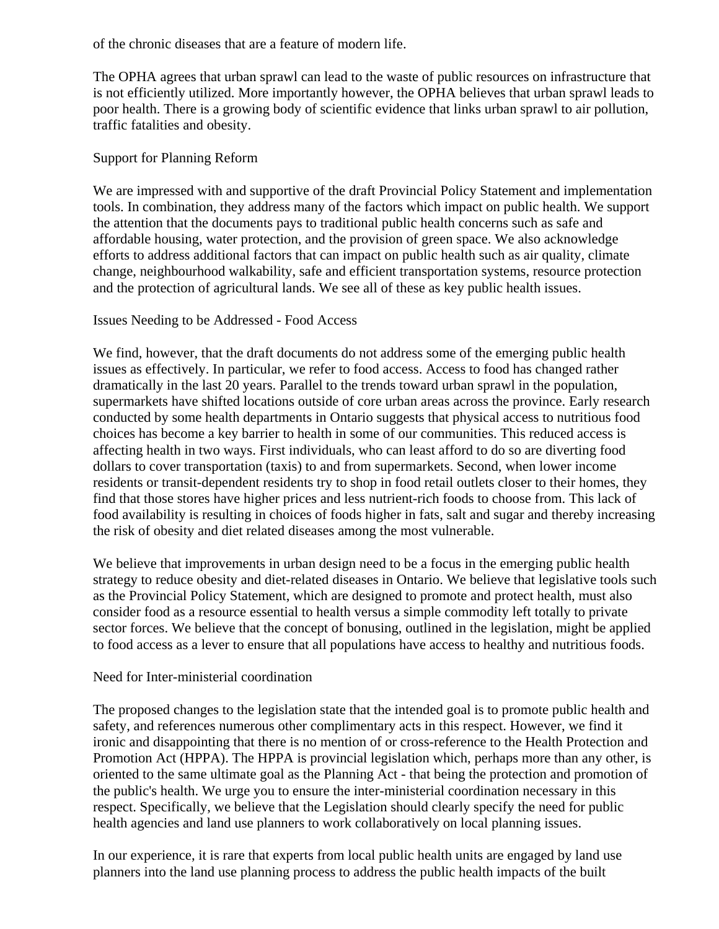of the chronic diseases that are a feature of modern life.

The OPHA agrees that urban sprawl can lead to the waste of public resources on infrastructure that is not efficiently utilized. More importantly however, the OPHA believes that urban sprawl leads to poor health. There is a growing body of scientific evidence that links urban sprawl to air pollution, traffic fatalities and obesity.

# Support for Planning Reform

We are impressed with and supportive of the draft Provincial Policy Statement and implementation tools. In combination, they address many of the factors which impact on public health. We support the attention that the documents pays to traditional public health concerns such as safe and affordable housing, water protection, and the provision of green space. We also acknowledge efforts to address additional factors that can impact on public health such as air quality, climate change, neighbourhood walkability, safe and efficient transportation systems, resource protection and the protection of agricultural lands. We see all of these as key public health issues.

### Issues Needing to be Addressed - Food Access

We find, however, that the draft documents do not address some of the emerging public health issues as effectively. In particular, we refer to food access. Access to food has changed rather dramatically in the last 20 years. Parallel to the trends toward urban sprawl in the population, supermarkets have shifted locations outside of core urban areas across the province. Early research conducted by some health departments in Ontario suggests that physical access to nutritious food choices has become a key barrier to health in some of our communities. This reduced access is affecting health in two ways. First individuals, who can least afford to do so are diverting food dollars to cover transportation (taxis) to and from supermarkets. Second, when lower income residents or transit-dependent residents try to shop in food retail outlets closer to their homes, they find that those stores have higher prices and less nutrient-rich foods to choose from. This lack of food availability is resulting in choices of foods higher in fats, salt and sugar and thereby increasing the risk of obesity and diet related diseases among the most vulnerable.

We believe that improvements in urban design need to be a focus in the emerging public health strategy to reduce obesity and diet-related diseases in Ontario. We believe that legislative tools such as the Provincial Policy Statement, which are designed to promote and protect health, must also consider food as a resource essential to health versus a simple commodity left totally to private sector forces. We believe that the concept of bonusing, outlined in the legislation, might be applied to food access as a lever to ensure that all populations have access to healthy and nutritious foods.

### Need for Inter-ministerial coordination

The proposed changes to the legislation state that the intended goal is to promote public health and safety, and references numerous other complimentary acts in this respect. However, we find it ironic and disappointing that there is no mention of or cross-reference to the Health Protection and Promotion Act (HPPA). The HPPA is provincial legislation which, perhaps more than any other, is oriented to the same ultimate goal as the Planning Act - that being the protection and promotion of the public's health. We urge you to ensure the inter-ministerial coordination necessary in this respect. Specifically, we believe that the Legislation should clearly specify the need for public health agencies and land use planners to work collaboratively on local planning issues.

In our experience, it is rare that experts from local public health units are engaged by land use planners into the land use planning process to address the public health impacts of the built